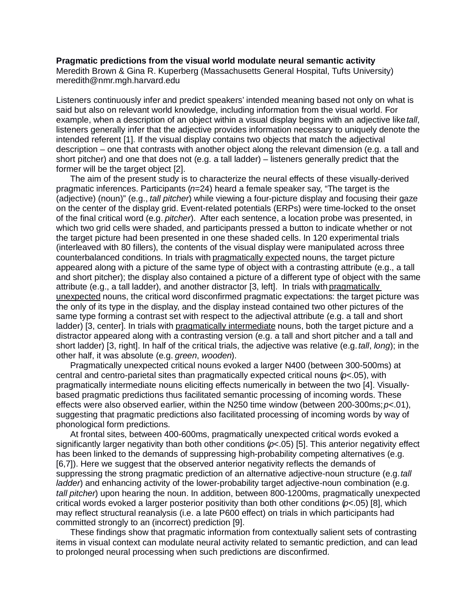## **Pragmatic predictions from the visual world modulate neural semantic activity**

Meredith Brown & Gina R. Kuperberg (Massachusetts General Hospital, Tufts University) meredith@nmr.mgh.harvard.edu

Listeners continuously infer and predict speakers' intended meaning based not only on what is said but also on relevant world knowledge, including information from the visual world. For example, when a description of an object within a visual display begins with an adjective like *tall*, listeners generally infer that the adjective provides information necessary to uniquely denote the intended referent [1]. If the visual display contains two objects that match the adjectival description – one that contrasts with another object along the relevant dimension (e.g. a tall and short pitcher) and one that does not (e.g. a tall ladder) – listeners generally predict that the former will be the target object [2].

The aim of the present study is to characterize the neural effects of these visually-derived pragmatic inferences. Participants (*n*=24) heard a female speaker say, "The target is the (adjective) (noun)" (e.g., *tall pitcher*) while viewing a four-picture display and focusing their gaze on the center of the display grid. Event-related potentials (ERPs) were time-locked to the onset of the final critical word (e.g. *pitcher*). After each sentence, a location probe was presented, in which two grid cells were shaded, and participants pressed a button to indicate whether or not the target picture had been presented in one these shaded cells. In 120 experimental trials (interleaved with 80 fillers), the contents of the visual display were manipulated across three counterbalanced conditions. In trials with pragmatically expected nouns, the target picture appeared along with a picture of the same type of object with a contrasting attribute (e.g., a tall and short pitcher); the display also contained a picture of a different type of object with the same attribute (e.g., a tall ladder), and another distractor [3, left]. In trials with pragmatically unexpected nouns, the critical word disconfirmed pragmatic expectations: the target picture was the only of its type in the display, and the display instead contained two other pictures of the same type forming a contrast set with respect to the adjectival attribute (e.g. a tall and short ladder) [3, center]. In trials with pragmatically intermediate nouns, both the target picture and a distractor appeared along with a contrasting version (e.g. a tall and short pitcher and a tall and short ladder) [3, right]. In half of the critical trials, the adjective was relative (e.g. *tall*, *long*); in the other half, it was absolute (e.g. *green*, *wooden*).

Pragmatically unexpected critical nouns evoked a larger N400 (between 300-500ms) at central and centro-parietal sites than pragmatically expected critical nouns (*p*<.05), with pragmatically intermediate nouns eliciting effects numerically in between the two [4]. Visuallybased pragmatic predictions thus facilitated semantic processing of incoming words. These effects were also observed earlier, within the N250 time window (between 200-300ms; *p*<.01), suggesting that pragmatic predictions also facilitated processing of incoming words by way of phonological form predictions.

At frontal sites, between 400-600ms, pragmatically unexpected critical words evoked a significantly larger negativity than both other conditions (*p*<.05) [5]. This anterior negativity effect has been linked to the demands of suppressing high-probability competing alternatives (e.g. [6,7]). Here we suggest that the observed anterior negativity reflects the demands of suppressing the strong pragmatic prediction of an alternative adjective-noun structure (e.g. *tall ladder*) and enhancing activity of the lower-probability target adjective-noun combination (e.g. *tall pitcher*) upon hearing the noun. In addition, between 800-1200ms, pragmatically unexpected critical words evoked a larger posterior positivity than both other conditions (*p*<.05) [8], which may reflect structural reanalysis (i.e. a late P600 effect) on trials in which participants had committed strongly to an (incorrect) prediction [9].

These findings show that pragmatic information from contextually salient sets of contrasting items in visual context can modulate neural activity related to semantic prediction, and can lead to prolonged neural processing when such predictions are disconfirmed.